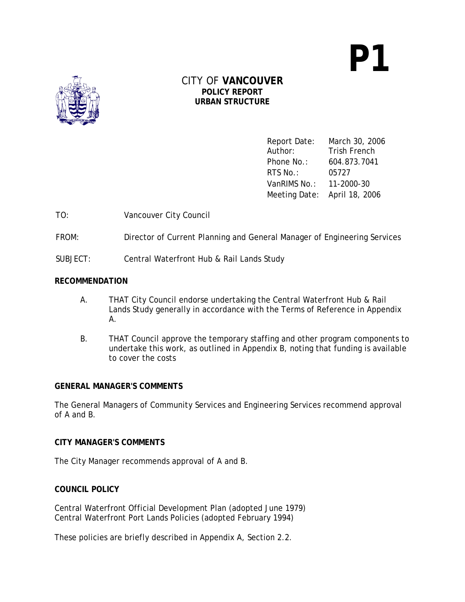**P1** 



## CITY OF **VANCOUVER POLICY REPORT URBAN STRUCTURE**

Report Date: March 30, 2006 Author: Trish French Phone No.: 604.873.7041 RTS No.: 05727 VanRIMS No.: 11-2000-30 Meeting Date: April 18, 2006

TO: Vancouver City Council

FROM: Director of Current Planning and General Manager of Engineering Services

SUBJECT: Central Waterfront Hub & Rail Lands Study

### **RECOMMENDATION**

- A. THAT City Council endorse undertaking the Central Waterfront Hub & Rail Lands Study generally in accordance with the Terms of Reference in Appendix A.
- B. THAT Council approve the temporary staffing and other program components to undertake this work, as outlined in Appendix B, noting that funding is available to cover the costs

#### **GENERAL MANAGER'S COMMENTS**

The General Managers of Community Services and Engineering Services recommend approval of A and B.

#### **CITY MANAGER'S COMMENTS**

The City Manager recommends approval of A and B.

## **COUNCIL POLICY**

Central Waterfront Official Development Plan (adopted June 1979) Central Waterfront Port Lands Policies (adopted February 1994)

These policies are briefly described in Appendix A, Section 2.2.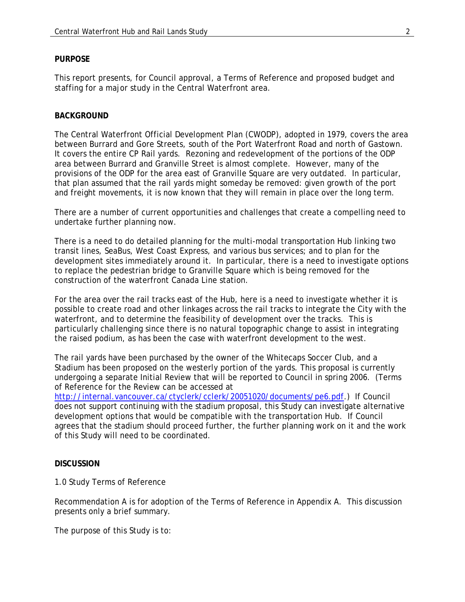#### **PURPOSE**

This report presents, for Council approval, a Terms of Reference and proposed budget and staffing for a major study in the Central Waterfront area.

#### **BACKGROUND**

The Central Waterfront Official Development Plan (CWODP), adopted in 1979, covers the area between Burrard and Gore Streets, south of the Port Waterfront Road and north of Gastown. It covers the entire CP Rail yards. Rezoning and redevelopment of the portions of the ODP area between Burrard and Granville Street is almost complete. However, many of the provisions of the ODP for the area east of Granville Square are very outdated. In particular, that plan assumed that the rail yards might someday be removed: given growth of the port and freight movements, it is now known that they will remain in place over the long term.

There are a number of current opportunities and challenges that create a compelling need to undertake further planning now.

There is a need to do detailed planning for the multi-modal transportation Hub linking two transit lines, SeaBus, West Coast Express, and various bus services; and to plan for the development sites immediately around it. In particular, there is a need to investigate options to replace the pedestrian bridge to Granville Square which is being removed for the construction of the waterfront Canada Line station.

For the area over the rail tracks east of the Hub, here is a need to investigate whether it is possible to create road and other linkages across the rail tracks to integrate the City with the waterfront, and to determine the feasibility of development over the tracks. This is particularly challenging since there is no natural topographic change to assist in integrating the raised podium, as has been the case with waterfront development to the west.

The rail yards have been purchased by the owner of the Whitecaps Soccer Club, and a Stadium has been proposed on the westerly portion of the yards. This proposal is currently undergoing a separate Initial Review that will be reported to Council in spring 2006. (Terms of Reference for the Review can be accessed at

http://internal.vancouver.ca/ctyclerk/cclerk/20051020/documents/pe6.pdf.) If Council does not support continuing with the stadium proposal, this Study can investigate alternative development options that would be compatible with the transportation Hub. If Council agrees that the stadium should proceed further, the further planning work on it and the work of this Study will need to be coordinated.

#### **DISCUSSION**

#### 1.0 Study Terms of Reference

Recommendation A is for adoption of the Terms of Reference in Appendix A. This discussion presents only a brief summary.

The purpose of this Study is to: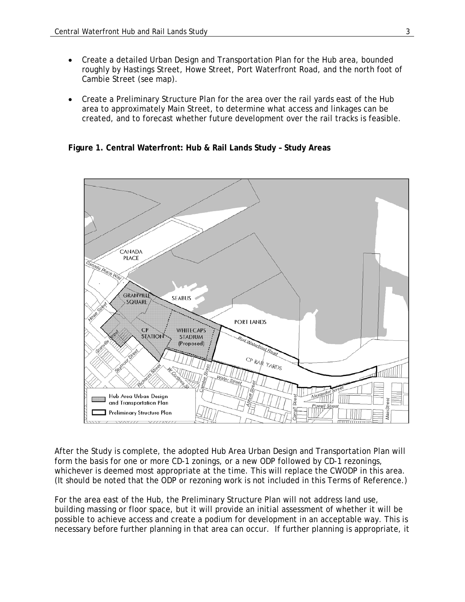- Create a detailed Urban Design and Transportation Plan for the Hub area, bounded roughly by Hastings Street, Howe Street, Port Waterfront Road, and the north foot of Cambie Street (see map).
- Create a Preliminary Structure Plan for the area over the rail yards east of the Hub area to approximately Main Street, to determine what access and linkages can be created, and to forecast whether future development over the rail tracks is feasible.

**Figure 1. Central Waterfront: Hub & Rail Lands Study – Study Areas** 



After the Study is complete, the adopted Hub Area Urban Design and Transportation Plan will form the basis for one or more CD-1 zonings, or a new ODP followed by CD-1 rezonings, whichever is deemed most appropriate at the time. This will replace the CWODP in this area. (It should be noted that the ODP or rezoning work is not included in this Terms of Reference.)

For the area east of the Hub, the Preliminary Structure Plan will not address land use, building massing or floor space, but it will provide an initial assessment of whether it will be possible to achieve access and create a podium for development in an acceptable way. This is necessary before further planning in that area can occur. If further planning is appropriate, it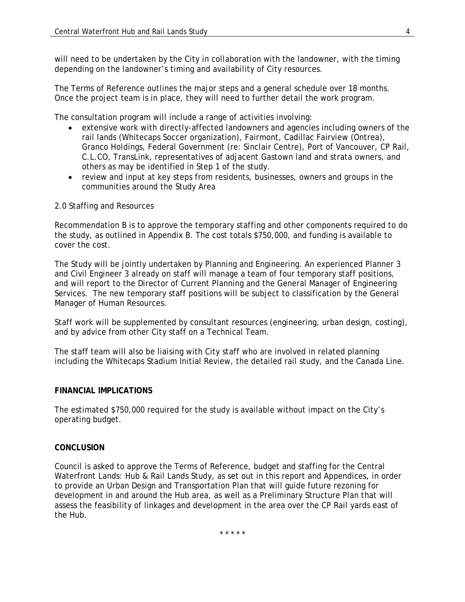will need to be undertaken by the City in collaboration with the landowner, with the timing depending on the landowner's timing and availability of City resources.

The Terms of Reference outlines the major steps and a general schedule over 18 months. Once the project team is in place, they will need to further detail the work program.

The consultation program will include a range of activities involving:

- extensive work with directly-affected landowners and agencies including owners of the rail lands (Whitecaps Soccer organization), Fairmont, Cadillac Fairview (Ontrea), Granco Holdings, Federal Government (re: Sinclair Centre), Port of Vancouver, CP Rail, C.L.CO, TransLink, representatives of adjacent Gastown land and strata owners, and others as may be identified in Step 1 of the study.
- review and input at key steps from residents, businesses, owners and groups in the communities around the Study Area

### 2.0 Staffing and Resources

Recommendation B is to approve the temporary staffing and other components required to do the study, as outlined in Appendix B. The cost totals \$750,000, and funding is available to cover the cost.

The Study will be jointly undertaken by Planning and Engineering. An experienced Planner 3 and Civil Engineer 3 already on staff will manage a team of four temporary staff positions, and will report to the Director of Current Planning and the General Manager of Engineering Services. The new temporary staff positions will be subject to classification by the General Manager of Human Resources.

Staff work will be supplemented by consultant resources (engineering, urban design, costing), and by advice from other City staff on a Technical Team.

The staff team will also be liaising with City staff who are involved in related planning including the Whitecaps Stadium Initial Review, the detailed rail study, and the Canada Line.

#### **FINANCIAL IMPLICATIONS**

The estimated \$750,000 required for the study is available without impact on the City's operating budget.

#### **CONCLUSION**

Council is asked to approve the Terms of Reference, budget and staffing for the Central Waterfront Lands: Hub & Rail Lands Study, as set out in this report and Appendices, in order to provide an Urban Design and Transportation Plan that will guide future rezoning for development in and around the Hub area, as well as a Preliminary Structure Plan that will assess the feasibility of linkages and development in the area over the CP Rail yards east of the Hub.

\* \* \* \* \*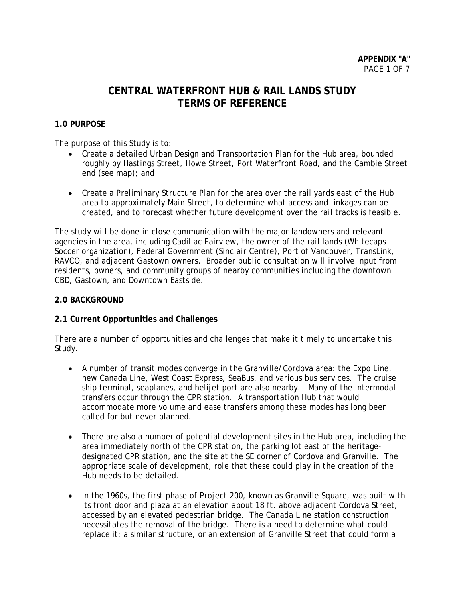# **CENTRAL WATERFRONT HUB & RAIL LANDS STUDY TERMS OF REFERENCE**

## **1.0 PURPOSE**

The purpose of this Study is to:

- Create a detailed Urban Design and Transportation Plan for the Hub area, bounded roughly by Hastings Street, Howe Street, Port Waterfront Road, and the Cambie Street end (see map); and
- Create a Preliminary Structure Plan for the area over the rail yards east of the Hub area to approximately Main Street, to determine what access and linkages can be created, and to forecast whether future development over the rail tracks is feasible.

The study will be done in close communication with the major landowners and relevant agencies in the area, including Cadillac Fairview, the owner of the rail lands (Whitecaps Soccer organization), Federal Government (Sinclair Centre), Port of Vancouver, TransLink, RAVCO, and adjacent Gastown owners. Broader public consultation will involve input from residents, owners, and community groups of nearby communities including the downtown CBD, Gastown, and Downtown Eastside.

### **2.0 BACKGROUND**

## **2.1 Current Opportunities and Challenges**

There are a number of opportunities and challenges that make it timely to undertake this Study.

- A number of transit modes converge in the Granville/Cordova area: the Expo Line, new Canada Line, West Coast Express, SeaBus, and various bus services. The cruise ship terminal, seaplanes, and helijet port are also nearby. Many of the intermodal transfers occur through the CPR station. A transportation Hub that would accommodate more volume and ease transfers among these modes has long been called for but never planned.
- There are also a number of potential development sites in the Hub area, including the area immediately north of the CPR station, the parking lot east of the heritagedesignated CPR station, and the site at the SE corner of Cordova and Granville. The appropriate scale of development, role that these could play in the creation of the Hub needs to be detailed.
- In the 1960s, the first phase of Project 200, known as Granville Square, was built with its front door and plaza at an elevation about 18 ft. above adjacent Cordova Street, accessed by an elevated pedestrian bridge. The Canada Line station construction necessitates the removal of the bridge. There is a need to determine what could replace it: a similar structure, or an extension of Granville Street that could form a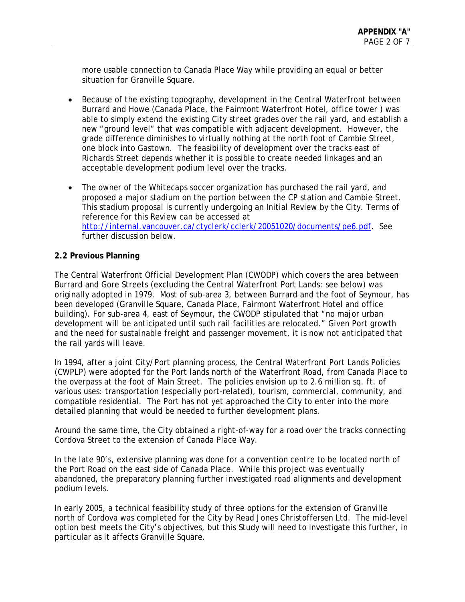more usable connection to Canada Place Way while providing an equal or better situation for Granville Square.

- Because of the existing topography, development in the Central Waterfront between Burrard and Howe (Canada Place, the Fairmont Waterfront Hotel, office tower ) was able to simply extend the existing City street grades over the rail yard, and establish a new "ground level" that was compatible with adjacent development. However, the grade difference diminishes to virtually nothing at the north foot of Cambie Street, one block into Gastown. The feasibility of development over the tracks east of Richards Street depends whether it is possible to create needed linkages and an acceptable development podium level over the tracks.
- The owner of the Whitecaps soccer organization has purchased the rail yard, and proposed a major stadium on the portion between the CP station and Cambie Street. This stadium proposal is currently undergoing an Initial Review by the City. Terms of reference for this Review can be accessed at http://internal.vancouver.ca/ctyclerk/cclerk/20051020/documents/pe6.pdf. See further discussion below.

## **2.2 Previous Planning**

The Central Waterfront Official Development Plan (CWODP) which covers the area between Burrard and Gore Streets (excluding the Central Waterfront Port Lands: see below) was originally adopted in 1979. Most of sub-area 3, between Burrard and the foot of Seymour, has been developed (Granville Square, Canada Place, Fairmont Waterfront Hotel and office building). For sub-area 4, east of Seymour, the CWODP stipulated that "no major urban development will be anticipated until such rail facilities are relocated." Given Port growth and the need for sustainable freight and passenger movement, it is now not anticipated that the rail yards will leave.

In 1994, after a joint City/Port planning process, the Central Waterfront Port Lands Policies (CWPLP) were adopted for the Port lands north of the Waterfront Road, from Canada Place to the overpass at the foot of Main Street. The policies envision up to 2.6 million sq. ft. of various uses: transportation (especially port-related), tourism, commercial, community, and compatible residential. The Port has not yet approached the City to enter into the more detailed planning that would be needed to further development plans.

Around the same time, the City obtained a right-of-way for a road over the tracks connecting Cordova Street to the extension of Canada Place Way.

In the late 90's, extensive planning was done for a convention centre to be located north of the Port Road on the east side of Canada Place. While this project was eventually abandoned, the preparatory planning further investigated road alignments and development podium levels.

In early 2005, a technical feasibility study of three options for the extension of Granville north of Cordova was completed for the City by Read Jones Christoffersen Ltd. The mid-level option best meets the City's objectives, but this Study will need to investigate this further, in particular as it affects Granville Square.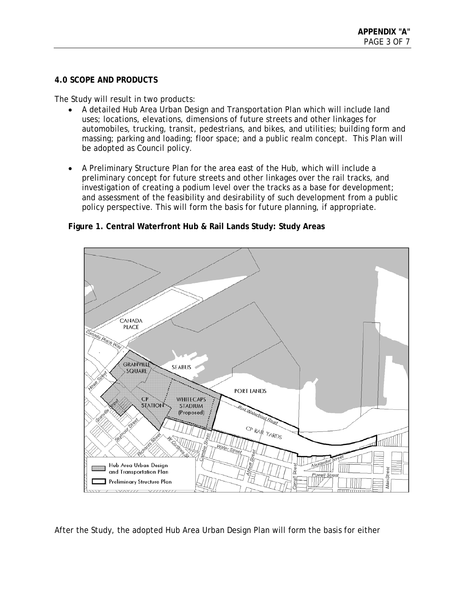## **4.0 SCOPE AND PRODUCTS**

The Study will result in two products:

- A detailed Hub Area Urban Design and Transportation Plan which will include land uses; locations, elevations, dimensions of future streets and other linkages for automobiles, trucking, transit, pedestrians, and bikes, and utilities; building form and massing; parking and loading; floor space; and a public realm concept. This Plan will be adopted as Council policy.
- A Preliminary Structure Plan for the area east of the Hub, which will include a preliminary concept for future streets and other linkages over the rail tracks, and investigation of creating a podium level over the tracks as a base for development; and assessment of the feasibility and desirability of such development from a public policy perspective. This will form the basis for future planning, if appropriate.

CANADA **PLACE** ce Way **GRANVILLE SEABUS** SQUARE **PORT LANDS WHITECAPS**  $CP$ **MOITAJE STADIUM** (Proposed) CP RAVE YARDS Hub Area Urban Design eet and Transportation Plan MainSt Preliminary Structure Plan

## **Figure 1. Central Waterfront Hub & Rail Lands Study: Study Areas**

After the Study, the adopted Hub Area Urban Design Plan will form the basis for either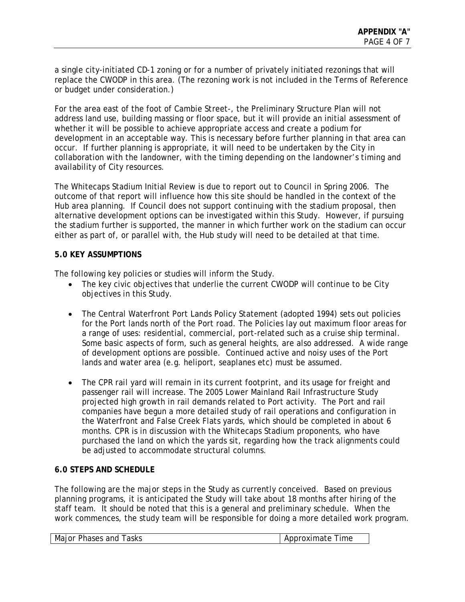a single city-initiated CD-1 zoning or for a number of privately initiated rezonings that will replace the CWODP in this area. (The rezoning work is not included in the Terms of Reference or budget under consideration.)

For the area east of the foot of Cambie Street-, the Preliminary Structure Plan will not address land use, building massing or floor space, but it will provide an initial assessment of whether it will be possible to achieve appropriate access and create a podium for development in an acceptable way. This is necessary before further planning in that area can occur. If further planning is appropriate, it will need to be undertaken by the City in collaboration with the landowner, with the timing depending on the landowner's timing and availability of City resources.

The Whitecaps Stadium Initial Review is due to report out to Council in Spring 2006. The outcome of that report will influence how this site should be handled in the context of the Hub area planning. If Council does not support continuing with the stadium proposal, then alternative development options can be investigated within this Study. However, if pursuing the stadium further is supported, the manner in which further work on the stadium can occur either as part of, or parallel with, the Hub study will need to be detailed at that time.

### **5.0 KEY ASSUMPTIONS**

The following key policies or studies will inform the Study.

- The key civic objectives that underlie the current CWODP will continue to be City objectives in this Study.
- The Central Waterfront Port Lands Policy Statement (adopted 1994) sets out policies for the Port lands north of the Port road. The Policies lay out maximum floor areas for a range of uses: residential, commercial, port-related such as a cruise ship terminal. Some basic aspects of form, such as general heights, are also addressed. A wide range of development options are possible. Continued active and noisy uses of the Port lands and water area (e.g. heliport, seaplanes etc) must be assumed.
- The CPR rail yard will remain in its current footprint, and its usage for freight and passenger rail will increase. The 2005 Lower Mainland Rail Infrastructure Study projected high growth in rail demands related to Port activity. The Port and rail companies have begun a more detailed study of rail operations and configuration in the Waterfront and False Creek Flats yards, which should be completed in about 6 months. CPR is in discussion with the Whitecaps Stadium proponents, who have purchased the land on which the yards sit, regarding how the track alignments could be adjusted to accommodate structural columns.

## **6.0 STEPS AND SCHEDULE**

The following are the major steps in the Study as currently conceived. Based on previous planning programs, it is anticipated the Study will take about 18 months after hiring of the staff team. It should be noted that this is a general and preliminary schedule. When the work commences, the study team will be responsible for doing a more detailed work program.

| Approximate Time<br>Major Phases and Tasks |  |
|--------------------------------------------|--|
|--------------------------------------------|--|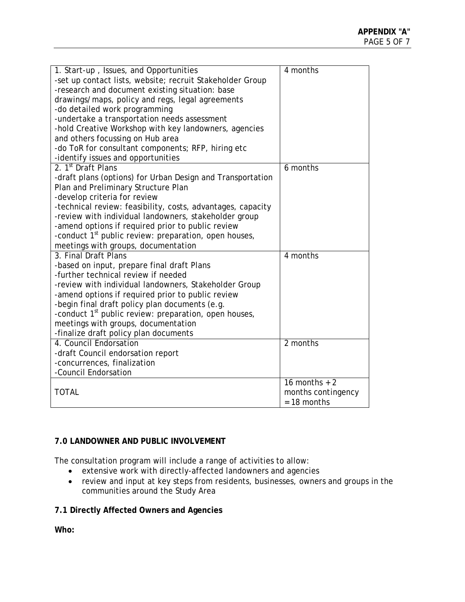| 1. Start-up, Issues, and Opportunities                            | 4 months                   |
|-------------------------------------------------------------------|----------------------------|
| -set up contact lists, website; recruit Stakeholder Group         |                            |
| -research and document existing situation: base                   |                            |
| drawings/maps, policy and regs, legal agreements                  |                            |
| -do detailed work programming                                     |                            |
| -undertake a transportation needs assessment                      |                            |
| -hold Creative Workshop with key landowners, agencies             |                            |
| and others focussing on Hub area                                  |                            |
| -do ToR for consultant components; RFP, hiring etc                |                            |
| -identify issues and opportunities                                |                            |
| 2. 1 <sup>st</sup> Draft Plans                                    | 6 months                   |
| -draft plans (options) for Urban Design and Transportation        |                            |
| Plan and Preliminary Structure Plan                               |                            |
| -develop criteria for review                                      |                            |
| -technical review: feasibility, costs, advantages, capacity       |                            |
| -review with individual landowners, stakeholder group             |                            |
| -amend options if required prior to public review                 |                            |
| -conduct 1 <sup>st</sup> public review: preparation, open houses, |                            |
| meetings with groups, documentation                               |                            |
| 3. Final Draft Plans                                              | 4 months                   |
| -based on input, prepare final draft Plans                        |                            |
| -further technical review if needed                               |                            |
| -review with individual landowners, Stakeholder Group             |                            |
| -amend options if required prior to public review                 |                            |
| -begin final draft policy plan documents (e.g.                    |                            |
| -conduct 1 <sup>st</sup> public review: preparation, open houses, |                            |
| meetings with groups, documentation                               |                            |
| -finalize draft policy plan documents                             |                            |
| 4. Council Endorsation                                            | 2 months                   |
| -draft Council endorsation report                                 |                            |
| -concurrences, finalization                                       |                            |
| -Council Endorsation                                              |                            |
|                                                                   | $\overline{16}$ months + 2 |
| <b>TOTAL</b>                                                      | months contingency         |
|                                                                   | $= 18$ months              |

## **7.0 LANDOWNER AND PUBLIC INVOLVEMENT**

The consultation program will include a range of activities to allow:

- extensive work with directly-affected landowners and agencies
- review and input at key steps from residents, businesses, owners and groups in the communities around the Study Area

**7.1 Directly Affected Owners and Agencies** 

**Who:**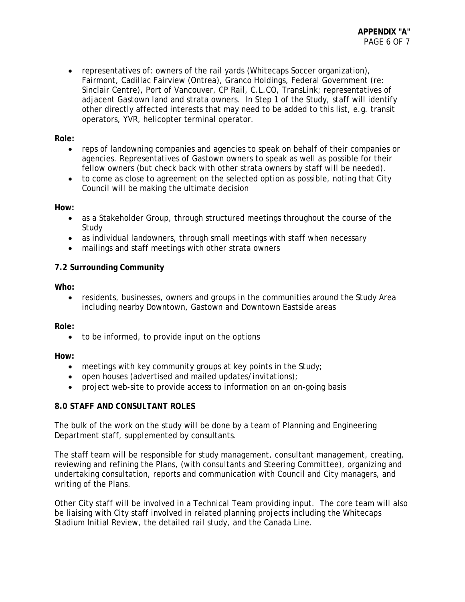• representatives of: owners of the rail yards (Whitecaps Soccer organization), Fairmont, Cadillac Fairview (Ontrea), Granco Holdings, Federal Government (re: Sinclair Centre), Port of Vancouver, CP Rail, C.L.CO, TransLink; representatives of adjacent Gastown land and strata owners. In Step 1 of the Study, staff will identify other directly affected interests that may need to be added to this list, e.g. transit operators, YVR, helicopter terminal operator.

## **Role:**

- reps of landowning companies and agencies to speak on behalf of their companies or agencies. Representatives of Gastown owners to speak as well as possible for their fellow owners (but check back with other strata owners by staff will be needed).
- to come as close to agreement on the selected option as possible, noting that City Council will be making the ultimate decision

## **How:**

- as a Stakeholder Group, through structured meetings throughout the course of the Study
- as individual landowners, through small meetings with staff when necessary
- mailings and staff meetings with other strata owners

## **7.2 Surrounding Community**

**Who:** 

• residents, businesses, owners and groups in the communities around the Study Area including nearby Downtown, Gastown and Downtown Eastside areas

**Role:** 

• to be informed, to provide input on the options

**How:** 

- meetings with key community groups at key points in the Study;
- open houses (advertised and mailed updates/invitations);
- project web-site to provide access to information on an on-going basis

## **8.0 STAFF AND CONSULTANT ROLES**

The bulk of the work on the study will be done by a team of Planning and Engineering Department staff, supplemented by consultants.

The staff team will be responsible for study management, consultant management, creating, reviewing and refining the Plans, (with consultants and Steering Committee), organizing and undertaking consultation, reports and communication with Council and City managers, and writing of the Plans.

Other City staff will be involved in a Technical Team providing input. The core team will also be liaising with City staff involved in related planning projects including the Whitecaps Stadium Initial Review, the detailed rail study, and the Canada Line.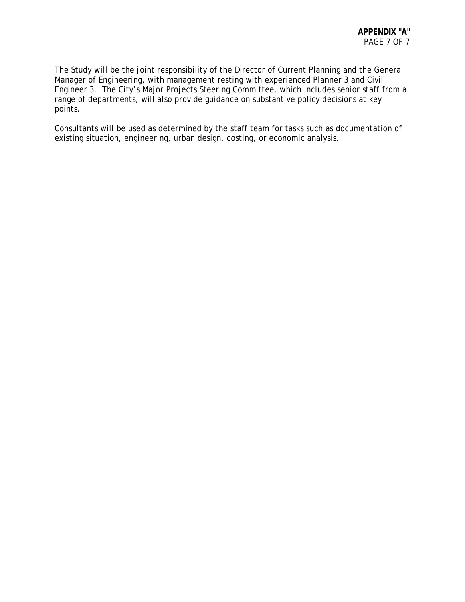The Study will be the joint responsibility of the Director of Current Planning and the General Manager of Engineering, with management resting with experienced Planner 3 and Civil Engineer 3. The City's Major Projects Steering Committee, which includes senior staff from a range of departments, will also provide guidance on substantive policy decisions at key points.

Consultants will be used as determined by the staff team for tasks such as documentation of existing situation, engineering, urban design, costing, or economic analysis.